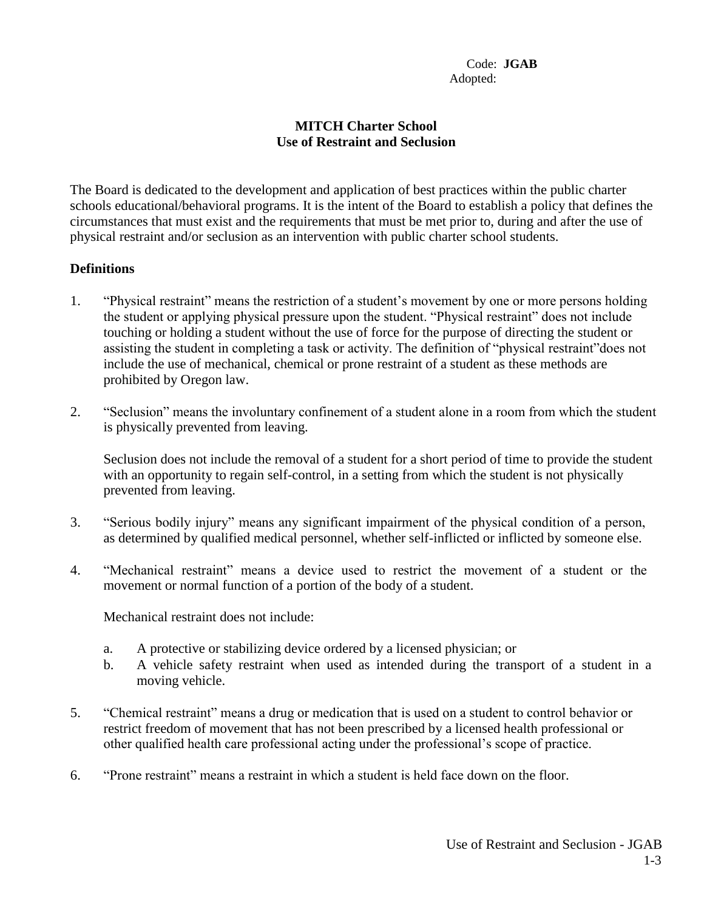## **MITCH Charter School Use of Restraint and Seclusion**

The Board is dedicated to the development and application of best practices within the public charter schools educational/behavioral programs. It is the intent of the Board to establish a policy that defines the circumstances that must exist and the requirements that must be met prior to, during and after the use of physical restraint and/or seclusion as an intervention with public charter school students.

## **Definitions**

- 1. "Physical restraint" means the restriction of a student's movement by one or more persons holding the student or applying physical pressure upon the student. "Physical restraint" does not include touching or holding a student without the use of force for the purpose of directing the student or assisting the student in completing a task or activity. The definition of "physical restraint"does not include the use of mechanical, chemical or prone restraint of a student as these methods are prohibited by Oregon law.
- 2. "Seclusion" means the involuntary confinement of a student alone in a room from which the student is physically prevented from leaving.

Seclusion does not include the removal of a student for a short period of time to provide the student with an opportunity to regain self-control, in a setting from which the student is not physically prevented from leaving.

- 3. "Serious bodily injury" means any significant impairment of the physical condition of a person, as determined by qualified medical personnel, whether self-inflicted or inflicted by someone else.
- 4. "Mechanical restraint" means a device used to restrict the movement of a student or the movement or normal function of a portion of the body of a student.

Mechanical restraint does not include:

- a. A protective or stabilizing device ordered by a licensed physician; or
- b. A vehicle safety restraint when used as intended during the transport of a student in a moving vehicle.
- 5. "Chemical restraint" means a drug or medication that is used on a student to control behavior or restrict freedom of movement that has not been prescribed by a licensed health professional or other qualified health care professional acting under the professional's scope of practice.
- 6. "Prone restraint" means a restraint in which a student is held face down on the floor.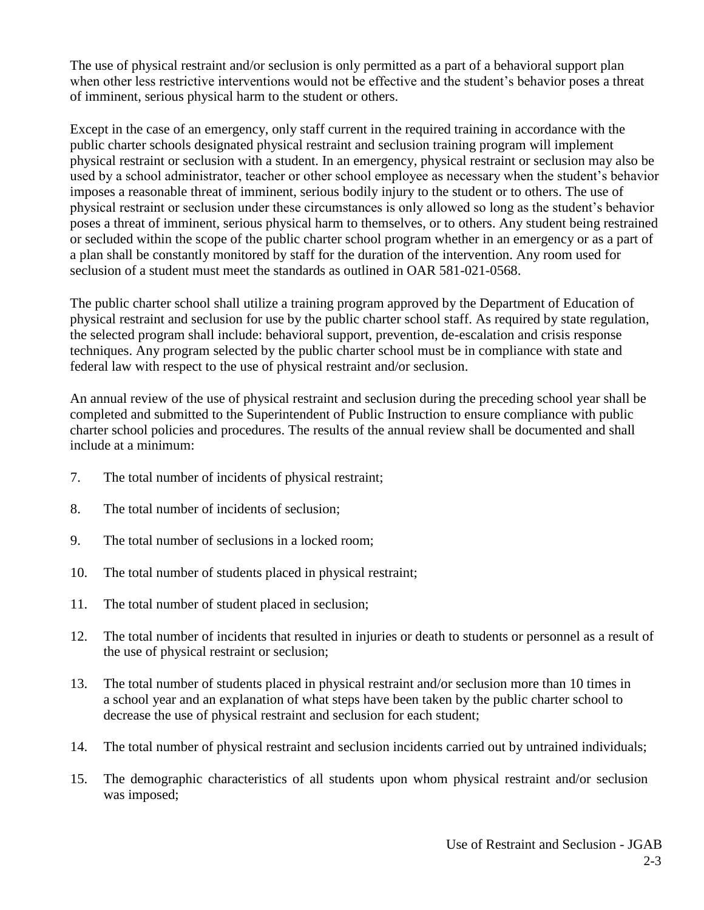The use of physical restraint and/or seclusion is only permitted as a part of a behavioral support plan when other less restrictive interventions would not be effective and the student's behavior poses a threat of imminent, serious physical harm to the student or others.

Except in the case of an emergency, only staff current in the required training in accordance with the public charter schools designated physical restraint and seclusion training program will implement physical restraint or seclusion with a student. In an emergency, physical restraint or seclusion may also be used by a school administrator, teacher or other school employee as necessary when the student's behavior imposes a reasonable threat of imminent, serious bodily injury to the student or to others. The use of physical restraint or seclusion under these circumstances is only allowed so long as the student's behavior poses a threat of imminent, serious physical harm to themselves, or to others. Any student being restrained or secluded within the scope of the public charter school program whether in an emergency or as a part of a plan shall be constantly monitored by staff for the duration of the intervention. Any room used for seclusion of a student must meet the standards as outlined in OAR 581-021-0568.

The public charter school shall utilize a training program approved by the Department of Education of physical restraint and seclusion for use by the public charter school staff. As required by state regulation, the selected program shall include: behavioral support, prevention, de-escalation and crisis response techniques. Any program selected by the public charter school must be in compliance with state and federal law with respect to the use of physical restraint and/or seclusion.

An annual review of the use of physical restraint and seclusion during the preceding school year shall be completed and submitted to the Superintendent of Public Instruction to ensure compliance with public charter school policies and procedures. The results of the annual review shall be documented and shall include at a minimum:

- 7. The total number of incidents of physical restraint;
- 8. The total number of incidents of seclusion;
- 9. The total number of seclusions in a locked room;
- 10. The total number of students placed in physical restraint;
- 11. The total number of student placed in seclusion;
- 12. The total number of incidents that resulted in injuries or death to students or personnel as a result of the use of physical restraint or seclusion;
- 13. The total number of students placed in physical restraint and/or seclusion more than 10 times in a school year and an explanation of what steps have been taken by the public charter school to decrease the use of physical restraint and seclusion for each student;
- 14. The total number of physical restraint and seclusion incidents carried out by untrained individuals;
- 15. The demographic characteristics of all students upon whom physical restraint and/or seclusion was imposed;